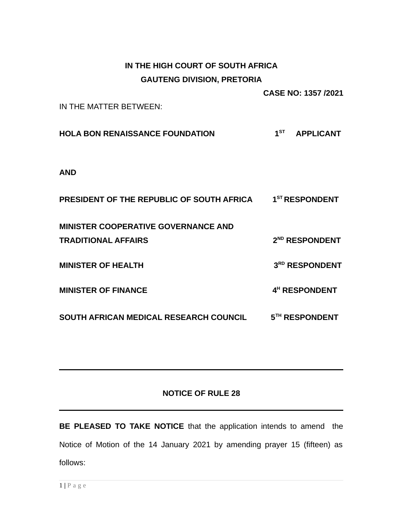## **IN THE HIGH COURT OF SOUTH AFRICA GAUTENG DIVISION, PRETORIA**

**CASE NO: 1357 /2021**

IN THE MATTER BETWEEN:

**HOLA BON RENAISSANCE FOUNDATION 1 ST APPLICANT**

**AND**

| PRESIDENT OF THE REPUBLIC OF SOUTH AFRICA     | $1ST$ RESPONDENT           |
|-----------------------------------------------|----------------------------|
| <b>MINISTER COOPERATIVE GOVERNANCE AND</b>    |                            |
| <b>TRADITIONAL AFFAIRS</b>                    | 2 <sup>ND</sup> RESPONDENT |
| <b>MINISTER OF HEALTH</b>                     | 3RD RESPONDENT             |
| <b>MINISTER OF FINANCE</b>                    | 4 <sup>H</sup> RESPONDENT  |
| <b>SOUTH AFRICAN MEDICAL RESEARCH COUNCIL</b> | 5 <sup>TH</sup> RESPONDENT |

## **NOTICE OF RULE 28**

**BE PLEASED TO TAKE NOTICE** that the application intends to amend the Notice of Motion of the 14 January 2021 by amending prayer 15 (fifteen) as follows: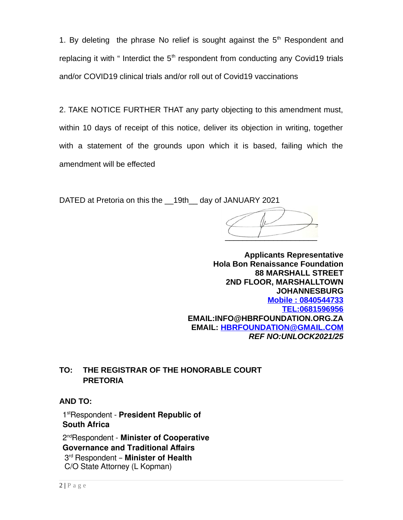1. By deleting the phrase No relief is sought against the  $5<sup>th</sup>$  Respondent and replacing it with " Interdict the  $5<sup>th</sup>$  respondent from conducting any Covid19 trials and/or COVID19 clinical trials and/or roll out of Covid19 vaccinations

2. TAKE NOTICE FURTHER THAT any party objecting to this amendment must, within 10 days of receipt of this notice, deliver its objection in writing, together with a statement of the grounds upon which it is based, failing which the amendment will be effected

DATED at Pretoria on this the 19th day of JANUARY 2021

 $\overline{\phantom{a}}$ 

**Applicants Representative Hola Bon Renaissance Foundation 88 MARSHALL STREET 2ND FLOOR, MARSHALLTOWN JOHANNESBURG Mobile : 0840544733  [TEL: 0681596956](tel:0681596956) EMAIL:INFO@HBRFOUNDATION.ORG.ZA EMAIL: [HBRFOUNDATION@GMAIL.COM](mailto:HBRFOUNDATION@GMAIL.COM)** *REF NO:UNLOCK2021/25*

## **TO: THE REGISTRAR OF THE HONORABLE COURT PRETORIA**

**AND TO:**

1 stRespondent - **President Republic of South Africa** 

2 ndRespondent - **Minister of Cooperative Governance and Traditional Affairs**  3 rd Respondent – **Minister of Health**  C/O State Attorney (L Kopman)